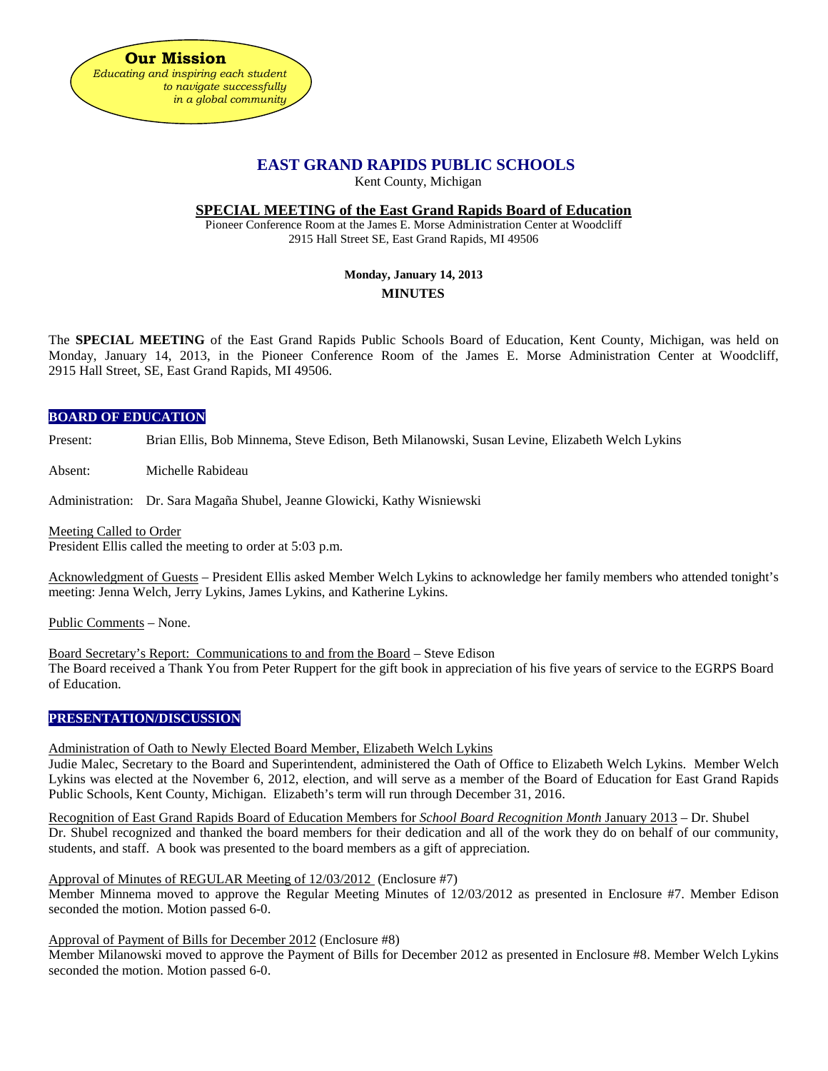

# **EAST GRAND RAPIDS PUBLIC SCHOOLS**

Kent County, Michigan

#### **SPECIAL MEETING of the East Grand Rapids Board of Education**

Pioneer Conference Room at the James E. Morse Administration Center at Woodcliff 2915 Hall Street SE, East Grand Rapids, MI 49506

# **Monday, January 14, 2013 MINUTES**

The **SPECIAL MEETING** of the East Grand Rapids Public Schools Board of Education, Kent County, Michigan, was held on Monday, January 14, 2013, in the Pioneer Conference Room of the James E. Morse Administration Center at Woodcliff, 2915 Hall Street, SE, East Grand Rapids, MI 49506.

#### **BOARD OF EDUCATION**

Present: Brian Ellis, Bob Minnema, Steve Edison, Beth Milanowski, Susan Levine, Elizabeth Welch Lykins

Absent: Michelle Rabideau

Administration: Dr. Sara Magaña Shubel, Jeanne Glowicki, Kathy Wisniewski

Meeting Called to Order

President Ellis called the meeting to order at 5:03 p.m.

Acknowledgment of Guests – President Ellis asked Member Welch Lykins to acknowledge her family members who attended tonight's meeting: Jenna Welch, Jerry Lykins, James Lykins, and Katherine Lykins.

Public Comments – None.

Board Secretary's Report: Communications to and from the Board – Steve Edison The Board received a Thank You from Peter Ruppert for the gift book in appreciation of his five years of service to the EGRPS Board of Education.

### **PRESENTATION/DISCUSSION**

Administration of Oath to Newly Elected Board Member, Elizabeth Welch Lykins

Judie Malec, Secretary to the Board and Superintendent, administered the Oath of Office to Elizabeth Welch Lykins. Member Welch Lykins was elected at the November 6, 2012, election, and will serve as a member of the Board of Education for East Grand Rapids Public Schools, Kent County, Michigan. Elizabeth's term will run through December 31, 2016.

Recognition of East Grand Rapids Board of Education Members for *School Board Recognition Month* January 2013 – Dr. Shubel Dr. Shubel recognized and thanked the board members for their dedication and all of the work they do on behalf of our community, students, and staff. A book was presented to the board members as a gift of appreciation.

Approval of Minutes of REGULAR Meeting of 12/03/2012 (Enclosure #7)

Member Minnema moved to approve the Regular Meeting Minutes of 12/03/2012 as presented in Enclosure #7. Member Edison seconded the motion. Motion passed 6-0.

Approval of Payment of Bills for December 2012 (Enclosure #8)

Member Milanowski moved to approve the Payment of Bills for December 2012 as presented in Enclosure #8. Member Welch Lykins seconded the motion. Motion passed 6-0.